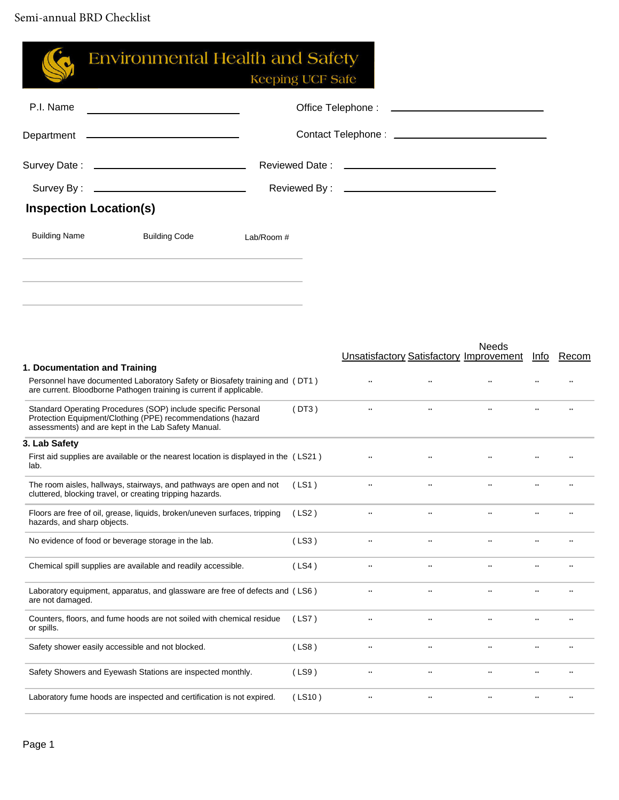|                               | <b>Environmental Health and Safety</b>                                                                                                                                              | <b>Keeping UCF Safe</b> |                      |                      |                                                                    |           |  |
|-------------------------------|-------------------------------------------------------------------------------------------------------------------------------------------------------------------------------------|-------------------------|----------------------|----------------------|--------------------------------------------------------------------|-----------|--|
| P.I. Name                     | <u> 1989 - Johann Barbara, martxa alemaniar a</u>                                                                                                                                   |                         |                      |                      |                                                                    |           |  |
|                               | Department __________________________________                                                                                                                                       |                         |                      |                      |                                                                    |           |  |
|                               |                                                                                                                                                                                     |                         |                      |                      |                                                                    |           |  |
|                               |                                                                                                                                                                                     |                         |                      |                      |                                                                    |           |  |
| <b>Inspection Location(s)</b> |                                                                                                                                                                                     |                         |                      |                      |                                                                    |           |  |
| <b>Building Name</b>          | <b>Building Code</b><br>Lab/Room #                                                                                                                                                  |                         |                      |                      |                                                                    |           |  |
|                               |                                                                                                                                                                                     |                         |                      |                      |                                                                    |           |  |
|                               |                                                                                                                                                                                     |                         |                      |                      |                                                                    |           |  |
|                               |                                                                                                                                                                                     |                         |                      |                      |                                                                    |           |  |
|                               |                                                                                                                                                                                     |                         |                      |                      |                                                                    |           |  |
|                               |                                                                                                                                                                                     |                         |                      |                      | <b>Needs</b><br>Unsatisfactory Satisfactory Improvement Info Recom |           |  |
| 1. Documentation and Training | Personnel have documented Laboratory Safety or Biosafety training and (DT1)<br>are current. Bloodborne Pathogen training is current if applicable.                                  |                         | $\ddots$             | $\ddots$             |                                                                    |           |  |
|                               | Standard Operating Procedures (SOP) include specific Personal<br>Protection Equipment/Clothing (PPE) recommendations (hazard<br>assessments) and are kept in the Lab Safety Manual. | (DT3)                   | $\ddots$             | $\ddots$             | $\ddotsc$                                                          |           |  |
| 3. Lab Safety                 |                                                                                                                                                                                     |                         |                      |                      |                                                                    |           |  |
| lab.                          | First aid supplies are available or the nearest location is displayed in the (LS21)                                                                                                 |                         | $\ddots$             | $\ddots$             | $\cdot$ .                                                          |           |  |
|                               | The room aisles, hallways, stairways, and pathways are open and not (LS1)<br>cluttered, blocking travel, or creating tripping hazards.                                              |                         | $\ldots$             | $\ldots$             |                                                                    |           |  |
| hazards, and sharp objects.   | Floors are free of oil, grease, liquids, broken/uneven surfaces, tripping                                                                                                           | (LS2)                   | $\ddot{\phantom{0}}$ |                      |                                                                    |           |  |
|                               | No evidence of food or beverage storage in the lab.                                                                                                                                 | (LS3)                   | $\cdot$ .            | $\ddot{\phantom{0}}$ |                                                                    |           |  |
|                               | Chemical spill supplies are available and readily accessible.                                                                                                                       | (LS4)                   | $\ldots$             | $\ddot{\phantom{0}}$ | $\ddotsc$                                                          | $\ddotsc$ |  |
| are not damaged.              | Laboratory equipment, apparatus, and glassware are free of defects and (LS6)                                                                                                        |                         | $\ddot{\phantom{a}}$ |                      |                                                                    |           |  |
| or spills.                    | Counters, floors, and fume hoods are not soiled with chemical residue                                                                                                               | (LS7)                   | $\cdot \cdot$        |                      |                                                                    |           |  |
|                               | Safety shower easily accessible and not blocked.                                                                                                                                    | (LS8)                   | $\cdot$ .            | $\ddotsc$            | $\ddot{\phantom{0}}$                                               | $\cdot$ . |  |
|                               | Safety Showers and Eyewash Stations are inspected monthly.                                                                                                                          | (LS9)                   | $\cdot$ .            | $\cdot$ .            | $\cdot$ .                                                          |           |  |
|                               | Laboratory fume hoods are inspected and certification is not expired.                                                                                                               | (LS10)                  | $\ldots$             |                      | $\ddotsc$                                                          |           |  |
|                               |                                                                                                                                                                                     |                         |                      |                      |                                                                    |           |  |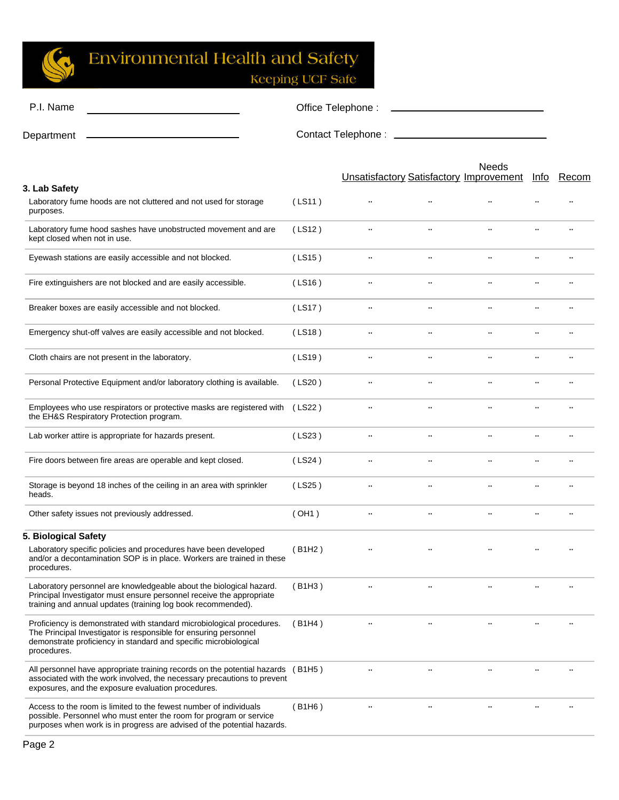

| P.I. Name                                                                                                                                                                                                                    | Office Telephone: |               |                      |                                                                |               |       |  |  |
|------------------------------------------------------------------------------------------------------------------------------------------------------------------------------------------------------------------------------|-------------------|---------------|----------------------|----------------------------------------------------------------|---------------|-------|--|--|
| Department                                                                                                                                                                                                                   |                   |               |                      |                                                                |               |       |  |  |
|                                                                                                                                                                                                                              |                   |               |                      | <b>Needs</b><br><b>Unsatisfactory Satisfactory Improvement</b> | <u>Info</u>   | Recom |  |  |
| 3. Lab Safety<br>Laboratory fume hoods are not cluttered and not used for storage<br>purposes.                                                                                                                               | (LS11)            | $\ddotsc$     |                      |                                                                |               |       |  |  |
| Laboratory fume hood sashes have unobstructed movement and are<br>kept closed when not in use.                                                                                                                               | (LS12)            |               |                      |                                                                |               |       |  |  |
| Eyewash stations are easily accessible and not blocked.                                                                                                                                                                      | (LS15)            | $\ldots$      | $\cdot$ .            | $\ddotsc$                                                      | $\cdot \cdot$ |       |  |  |
| Fire extinguishers are not blocked and are easily accessible.                                                                                                                                                                | (LS16)            | $\ldots$      | $\ldots$             | $\ddot{\phantom{0}}$                                           | $\cdot\cdot$  |       |  |  |
| Breaker boxes are easily accessible and not blocked.                                                                                                                                                                         | (LS17)            | $\cdot \cdot$ | $\cdot$ .            | $\ddotsc$                                                      | $\cdot \cdot$ |       |  |  |
| Emergency shut-off valves are easily accessible and not blocked.                                                                                                                                                             | (LS18)            | $\ldots$      | $\ddotsc$            | $\ddotsc$                                                      | $\ddotsc$     |       |  |  |
| Cloth chairs are not present in the laboratory.                                                                                                                                                                              | (LS19)            | $\cdot$ .     | $\ddotsc$            |                                                                |               |       |  |  |
| Personal Protective Equipment and/or laboratory clothing is available.                                                                                                                                                       | (LS20)            | $\cdot$ .     | $\ldots$             | $\ddotsc$                                                      |               |       |  |  |
| Employees who use respirators or protective masks are registered with<br>the EH&S Respiratory Protection program.                                                                                                            | (LS22)            |               |                      |                                                                |               |       |  |  |
| Lab worker attire is appropriate for hazards present.                                                                                                                                                                        | (LS23)            | $\ldots$      | $\ddotsc$            |                                                                |               |       |  |  |
| Fire doors between fire areas are operable and kept closed.                                                                                                                                                                  | (LS24)            | $\ddotsc$     | $\ddotsc$            |                                                                |               |       |  |  |
| Storage is beyond 18 inches of the ceiling in an area with sprinkler<br>heads.                                                                                                                                               | (LS25)            | $\cdot$ .     | $\ddot{\phantom{0}}$ |                                                                |               |       |  |  |
| Other safety issues not previously addressed.                                                                                                                                                                                | (OH1)             | $\ldots$      | $\ldots$             | $\ddotsc$                                                      |               |       |  |  |
| 5. Biological Safety<br>Laboratory specific policies and procedures have been developed<br>and/or a decontamination SOP is in place. Workers are trained in these<br>procedures.                                             | (B1H2)            |               |                      |                                                                |               |       |  |  |
| Laboratory personnel are knowledgeable about the biological hazard.<br>Principal Investigator must ensure personnel receive the appropriate<br>training and annual updates (training log book recommended).                  | (B1H3)            | $\cdot$ .     |                      |                                                                |               |       |  |  |
| Proficiency is demonstrated with standard microbiological procedures.<br>The Principal Investigator is responsible for ensuring personnel<br>demonstrate proficiency in standard and specific microbiological<br>procedures. | (B1H4)            |               |                      |                                                                |               |       |  |  |
| All personnel have appropriate training records on the potential hazards (B1H5)<br>associated with the work involved, the necessary precautions to prevent<br>exposures, and the exposure evaluation procedures.             |                   |               |                      |                                                                |               |       |  |  |
| Access to the room is limited to the fewest number of individuals<br>possible. Personnel who must enter the room for program or service<br>purposes when work is in progress are advised of the potential hazards.           | (B1H6)            | $\cdot$ .     | $\cdot$ .            | $\cdot \cdot$                                                  |               |       |  |  |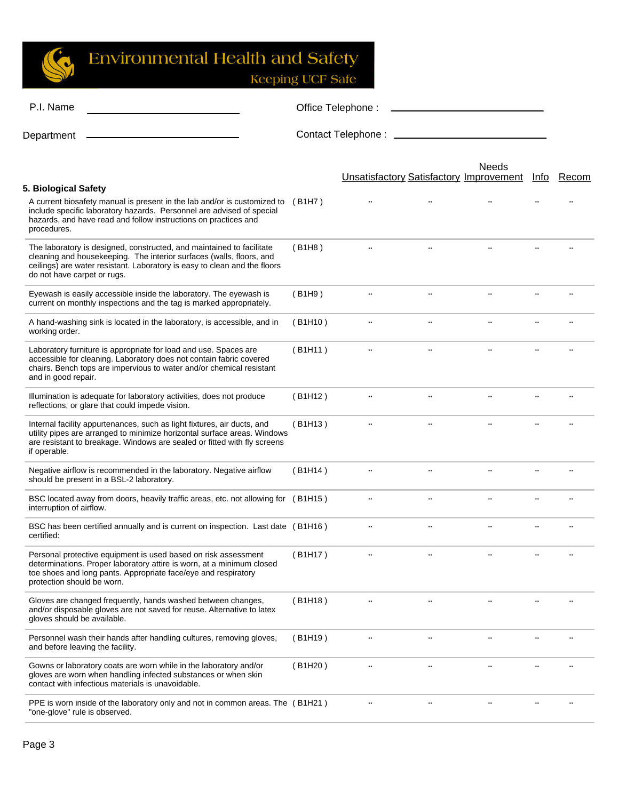S

| Office Telephone: |                                                                                                                                                                                                                                                                                                                                                                                                                       |           |                      |                                                |          |
|-------------------|-----------------------------------------------------------------------------------------------------------------------------------------------------------------------------------------------------------------------------------------------------------------------------------------------------------------------------------------------------------------------------------------------------------------------|-----------|----------------------|------------------------------------------------|----------|
|                   |                                                                                                                                                                                                                                                                                                                                                                                                                       |           |                      |                                                |          |
|                   |                                                                                                                                                                                                                                                                                                                                                                                                                       |           | <b>Needs</b>         | Info                                           | Recom    |
|                   |                                                                                                                                                                                                                                                                                                                                                                                                                       |           |                      |                                                |          |
| (B1H8)            | $\ddotsc$                                                                                                                                                                                                                                                                                                                                                                                                             | $\ddotsc$ | $\ddot{\phantom{a}}$ |                                                |          |
| (B1H9)            | $\cdot$ .                                                                                                                                                                                                                                                                                                                                                                                                             | $\ldots$  | $\ddotsc$            |                                                |          |
| (B1H10)           | $\cdot$ .                                                                                                                                                                                                                                                                                                                                                                                                             | $\ddotsc$ | $\ddot{\phantom{a}}$ |                                                |          |
| (B1H11)           |                                                                                                                                                                                                                                                                                                                                                                                                                       | $\ddotsc$ |                      |                                                |          |
| (B1H12)           | $\ddotsc$                                                                                                                                                                                                                                                                                                                                                                                                             | $\cdot$ . |                      |                                                |          |
| (B1H13)           |                                                                                                                                                                                                                                                                                                                                                                                                                       |           |                      |                                                |          |
| (B1H14)           | $\cdot \cdot$                                                                                                                                                                                                                                                                                                                                                                                                         | $\cdot$ . | $\cdot \cdot$        |                                                |          |
|                   | $\ddotsc$                                                                                                                                                                                                                                                                                                                                                                                                             | $\ddotsc$ |                      |                                                |          |
|                   | $\ddotsc$                                                                                                                                                                                                                                                                                                                                                                                                             | $\ldots$  | $\ddotsc$            |                                                |          |
| (B1H17)           | $\ldots$                                                                                                                                                                                                                                                                                                                                                                                                              | $\cdot$ . | $\ldots$             | $\cdot \cdot$                                  | $\ldots$ |
| (B1H18)           | $\ddotsc$                                                                                                                                                                                                                                                                                                                                                                                                             | $\ddotsc$ |                      |                                                |          |
| (B1H19)           |                                                                                                                                                                                                                                                                                                                                                                                                                       | $\ddotsc$ |                      |                                                |          |
| (B1H20)           | $\cdot$ .                                                                                                                                                                                                                                                                                                                                                                                                             | $\ddotsc$ |                      |                                                |          |
|                   |                                                                                                                                                                                                                                                                                                                                                                                                                       |           |                      |                                                |          |
|                   | A current biosafety manual is present in the lab and/or is customized to (B1H7)<br>utility pipes are arranged to minimize horizontal surface areas. Windows<br>BSC located away from doors, heavily traffic areas, etc. not allowing for (B1H15)<br>BSC has been certified annually and is current on inspection. Last date (B1H16)<br>PPE is worn inside of the laboratory only and not in common areas. The (B1H21) |           |                      | <b>Unsatisfactory Satisfactory Improvement</b> |          |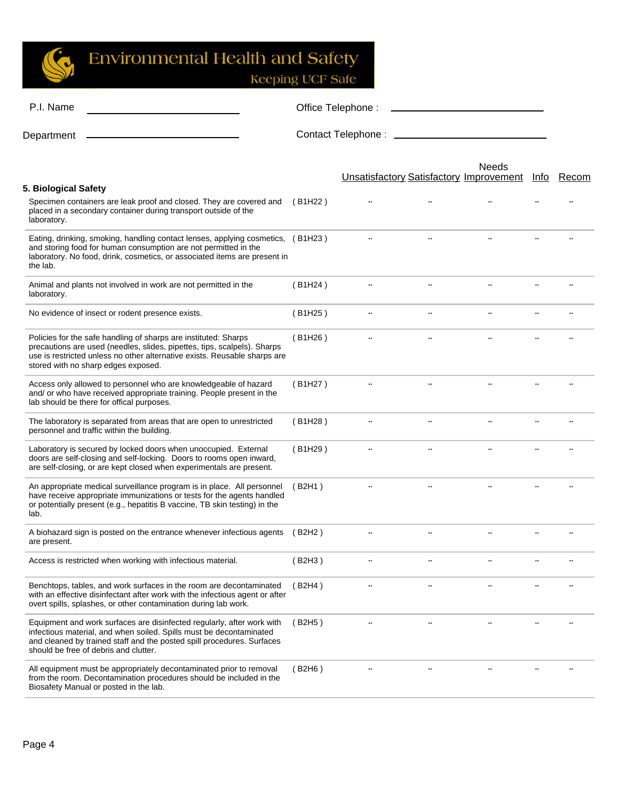G

| P.I. Name                                                                                                                                                                                                                                                        | Office Telephone: |           |                      |                                                                |             |           |
|------------------------------------------------------------------------------------------------------------------------------------------------------------------------------------------------------------------------------------------------------------------|-------------------|-----------|----------------------|----------------------------------------------------------------|-------------|-----------|
| Department                                                                                                                                                                                                                                                       |                   |           |                      |                                                                |             |           |
|                                                                                                                                                                                                                                                                  |                   |           |                      | <b>Needs</b><br><b>Unsatisfactory Satisfactory Improvement</b> | <u>Info</u> | Recom     |
| 5. Biological Safety                                                                                                                                                                                                                                             |                   |           |                      |                                                                |             |           |
| Specimen containers are leak proof and closed. They are covered and<br>placed in a secondary container during transport outside of the<br>laboratory.                                                                                                            | (B1H22)           |           |                      |                                                                |             |           |
| Eating, drinking, smoking, handling contact lenses, applying cosmetics, (B1H23)<br>and storing food for human consumption are not permitted in the<br>laboratory. No food, drink, cosmetics, or associated items are present in<br>the lab.                      |                   | $\cdot$ . |                      |                                                                |             |           |
| Animal and plants not involved in work are not permitted in the<br>laboratory.                                                                                                                                                                                   | (B1H24)           |           |                      |                                                                |             |           |
| No evidence of insect or rodent presence exists.                                                                                                                                                                                                                 | (B1H25)           | $\ldots$  | $\ddotsc$            |                                                                |             |           |
| Policies for the safe handling of sharps are instituted: Sharps<br>precautions are used (needles, slides, pipettes, tips, scalpels). Sharps<br>use is restricted unless no other alternative exists. Reusable sharps are<br>stored with no sharp edges exposed.  | (B1H26)           | $\cdot$ . | $\ddot{\phantom{a}}$ |                                                                |             |           |
| Access only allowed to personnel who are knowledgeable of hazard<br>and/ or who have received appropriate training. People present in the<br>lab should be there for offical purposes.                                                                           | (B1H27)           | $\cdot$ . | $\cdot$              | $\cdot$ .                                                      |             |           |
| The laboratory is separated from areas that are open to unrestricted<br>personnel and traffic within the building.                                                                                                                                               | (B1H28)           |           | $\cdot \cdot$        |                                                                |             |           |
| Laboratory is secured by locked doors when unoccupied. External<br>doors are self-closing and self-locking. Doors to rooms open inward,<br>are self-closing, or are kept closed when experimentals are present.                                                  | (B1H29)           | $\ddotsc$ | $\ddotsc$            |                                                                |             |           |
| An appropriate medical surveillance program is in place. All personnel<br>have receive appropriate immunizations or tests for the agents handled<br>or potentially present (e.g., hepatitis B vaccine, TB skin testing) in the<br>lab.                           | (B2H1)            |           | $\cdot \cdot$        |                                                                |             |           |
| A biohazard sign is posted on the entrance whenever infectious agents<br>are present.                                                                                                                                                                            | (B2H2)            |           |                      |                                                                |             | $\cdot$ . |
| Access is restricted when working with infectious material.                                                                                                                                                                                                      | (B2H3)            | $\cdot$ . | $\cdot$ .            | $\cdot$ .                                                      |             |           |
| Benchtops, tables, and work surfaces in the room are decontaminated<br>with an effective disinfectant after work with the infectious agent or after<br>overt spills, splashes, or other contamination during lab work.                                           | (B2H4)            | $\cdot$ . | $\ddot{\phantom{0}}$ |                                                                |             |           |
| Equipment and work surfaces are disinfected regularly, after work with<br>infectious material, and when soiled. Spills must be decontaminated<br>and cleaned by trained staff and the posted spill procedures. Surfaces<br>should be free of debris and clutter. | (B2H5)            |           |                      |                                                                |             |           |
| All equipment must be appropriately decontaminated prior to removal<br>from the room. Decontamination procedures should be included in the<br>Biosafety Manual or posted in the lab.                                                                             | (B2H6)            |           |                      |                                                                |             |           |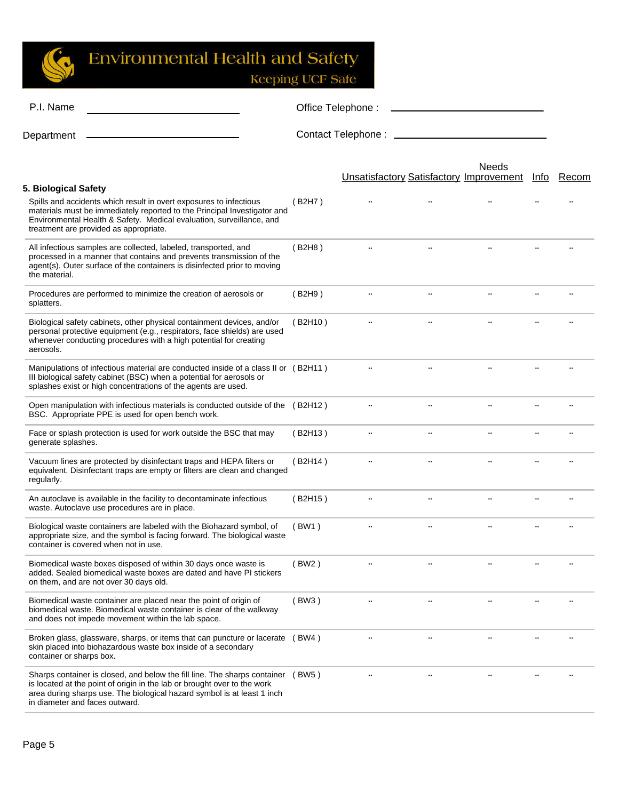Keeping UCF Safe

| P.I. Name                                                                                                                                                                                                                                                                | Office Telephone:             |                                                |               |          |      |       |
|--------------------------------------------------------------------------------------------------------------------------------------------------------------------------------------------------------------------------------------------------------------------------|-------------------------------|------------------------------------------------|---------------|----------|------|-------|
| Department                                                                                                                                                                                                                                                               | Contact Telephone: __________ |                                                |               |          |      |       |
| 5. Biological Safety                                                                                                                                                                                                                                                     |                               | <b>Unsatisfactory Satisfactory Improvement</b> |               | Needs    | Info | Recom |
| Spills and accidents which result in overt exposures to infectious<br>materials must be immediately reported to the Principal Investigator and<br>Environmental Health & Safety. Medical evaluation, surveillance, and<br>treatment are provided as appropriate.         | (B2H7)                        |                                                |               |          |      |       |
| All infectious samples are collected, labeled, transported, and<br>processed in a manner that contains and prevents transmission of the<br>agent(s). Outer surface of the containers is disinfected prior to moving<br>the material.                                     | (B2H8)                        |                                                | $\cdot$ .     |          |      |       |
| Procedures are performed to minimize the creation of aerosols or<br>splatters.                                                                                                                                                                                           | (B2H9)                        | $\ldots$                                       | $\ldots$      | $\ldots$ |      |       |
| Biological safety cabinets, other physical containment devices, and/or<br>personal protective equipment (e.g., respirators, face shields) are used<br>whenever conducting procedures with a high potential for creating<br>aerosols.                                     | (B2H10)                       |                                                |               |          |      |       |
| Manipulations of infectious material are conducted inside of a class II or (B2H11)<br>III biological safety cabinet (BSC) when a potential for aerosols or<br>splashes exist or high concentrations of the agents are used.                                              |                               | $\ddotsc$                                      | $\ldots$      |          |      |       |
| Open manipulation with infectious materials is conducted outside of the (B2H12)<br>BSC. Appropriate PPE is used for open bench work.                                                                                                                                     |                               | $\cdot$ .                                      | $\ddotsc$     |          |      |       |
| Face or splash protection is used for work outside the BSC that may<br>generate splashes.                                                                                                                                                                                | (B2H13)                       | $\ldots$                                       | $\ddotsc$     |          |      |       |
| Vacuum lines are protected by disinfectant traps and HEPA filters or<br>equivalent. Disinfectant traps are empty or filters are clean and changed<br>regularly.                                                                                                          | (B2H14)                       |                                                |               |          |      |       |
| An autoclave is available in the facility to decontaminate infectious<br>waste. Autoclave use procedures are in place.                                                                                                                                                   | (B2H15)                       | $\ddotsc$                                      | $\ddotsc$     |          |      |       |
| Biological waste containers are labeled with the Biohazard symbol, of<br>appropriate size, and the symbol is facing forward. The biological waste<br>container is covered when not in use.                                                                               | (BW1)                         | $\ddotsc$                                      | $\cdot \cdot$ |          |      |       |
| Biomedical waste boxes disposed of within 30 days once waste is<br>added. Sealed biomedical waste boxes are dated and have PI stickers<br>on them, and are not over 30 days old.                                                                                         | (BW2)                         |                                                |               |          |      |       |
| Biomedical waste container are placed near the point of origin of<br>biomedical waste. Biomedical waste container is clear of the walkway<br>and does not impede movement within the lab space.                                                                          | (BW3)                         |                                                |               |          |      |       |
| Broken glass, glassware, sharps, or items that can puncture or lacerate (BW4)<br>skin placed into biohazardous waste box inside of a secondary<br>container or sharps box.                                                                                               |                               |                                                |               |          |      |       |
| Sharps container is closed, and below the fill line. The sharps container (BW5)<br>is located at the point of origin in the lab or brought over to the work<br>area during sharps use. The biological hazard symbol is at least 1 inch<br>in diameter and faces outward. |                               |                                                |               |          |      |       |
|                                                                                                                                                                                                                                                                          |                               |                                                |               |          |      |       |

 $\mathbb{C}$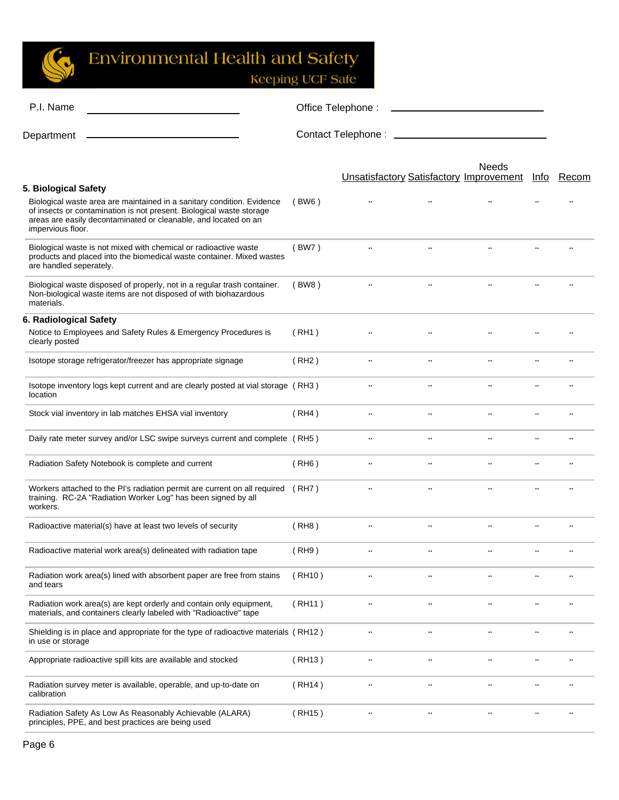G

| P.I. Name                                                                                                                                                                                                                                                      | Office Telephone:<br><u> Andrew Marian (1989)</u> |                                                |           |               |               |           |
|----------------------------------------------------------------------------------------------------------------------------------------------------------------------------------------------------------------------------------------------------------------|---------------------------------------------------|------------------------------------------------|-----------|---------------|---------------|-----------|
| Department                                                                                                                                                                                                                                                     |                                                   |                                                |           |               |               |           |
|                                                                                                                                                                                                                                                                |                                                   | <b>Unsatisfactory Satisfactory Improvement</b> |           | <b>Needs</b>  | Info          | Recom     |
| 5. Biological Safety<br>Biological waste area are maintained in a sanitary condition. Evidence<br>of insects or contamination is not present. Biological waste storage<br>areas are easily decontaminated or cleanable, and located on an<br>impervious floor. | (BW6)                                             |                                                |           |               |               |           |
| Biological waste is not mixed with chemical or radioactive waste<br>products and placed into the biomedical waste container. Mixed wastes<br>are handled seperately.                                                                                           | (BW7)                                             |                                                | $\ldots$  |               |               |           |
| Biological waste disposed of properly, not in a regular trash container.<br>Non-biological waste items are not disposed of with biohazardous<br>materials.                                                                                                     | (BW8)                                             | $\cdot$ .                                      | $\ldots$  | $\cdot \cdot$ |               |           |
| 6. Radiological Safety                                                                                                                                                                                                                                         |                                                   |                                                |           |               |               |           |
| Notice to Employees and Safety Rules & Emergency Procedures is<br>clearly posted                                                                                                                                                                               | (RH1)                                             |                                                |           |               |               |           |
| Isotope storage refrigerator/freezer has appropriate signage                                                                                                                                                                                                   | (RH2)                                             | $\cdot \cdot$                                  | $\cdot$ . | $\cdot \cdot$ |               |           |
| Isotope inventory logs kept current and are clearly posted at vial storage (RH3)<br>location                                                                                                                                                                   |                                                   | $\ldots$                                       | $\ldots$  | $\ddotsc$     |               |           |
| Stock vial inventory in lab matches EHSA vial inventory                                                                                                                                                                                                        | (RH4)                                             | $\cdot$ .                                      | $\cdot$ . | $\ddotsc$     |               |           |
| Daily rate meter survey and/or LSC swipe surveys current and complete (RH5)                                                                                                                                                                                    |                                                   | $\ddotsc$                                      | $\ddotsc$ | $\ddotsc$     |               |           |
| Radiation Safety Notebook is complete and current                                                                                                                                                                                                              | (RH6)                                             | $\cdot \cdot$                                  | $\cdot$ . | $\cdot\cdot$  | $\ddotsc$     | $\cdot$ . |
| Workers attached to the PI's radiation permit are current on all required (RH7)<br>training. RC-2A "Radiation Worker Log" has been signed by all<br>workers.                                                                                                   |                                                   | $\ldots$                                       | $\ldots$  | $\cdot\cdot$  |               |           |
| Radioactive material(s) have at least two levels of security                                                                                                                                                                                                   | (RH8)                                             | $\cdot \cdot$                                  | $\ldots$  | $\cdot \cdot$ |               |           |
| Radioactive material work area(s) delineated with radiation tape                                                                                                                                                                                               | (RH9)                                             |                                                |           |               |               |           |
| Radiation work area(s) lined with absorbent paper are free from stains<br>and tears                                                                                                                                                                            | (RH10)                                            | $\cdot \cdot$                                  |           | $\cdot$ .     |               |           |
| Radiation work area(s) are kept orderly and contain only equipment,<br>materials, and containers clearly labeled with "Radioactive" tape                                                                                                                       | (RH11)                                            | $\ldots$                                       | $\cdot$ . | $\cdot\cdot$  | $\cdot$ .     |           |
| Shielding is in place and appropriate for the type of radioactive materials (RH12)<br>in use or storage                                                                                                                                                        |                                                   | $\cdot$ .                                      |           | $\cdot \cdot$ |               |           |
| Appropriate radioactive spill kits are available and stocked                                                                                                                                                                                                   | (RH13)                                            | $\ldots$                                       | $\cdot$ . | $\cdot\cdot$  | $\cdot$ .     |           |
| Radiation survey meter is available, operable, and up-to-date on<br>calibration                                                                                                                                                                                | (RH14)                                            | $\ldots$                                       |           | $\cdot$ .     | $\cdot$ .     | $\cdot$ . |
| Radiation Safety As Low As Reasonably Achievable (ALARA)<br>principles, PPE, and best practices are being used                                                                                                                                                 | (RH15)                                            | $\cdot$ .                                      | $\ldots$  | $\cdot$ .     | $\cdot \cdot$ |           |